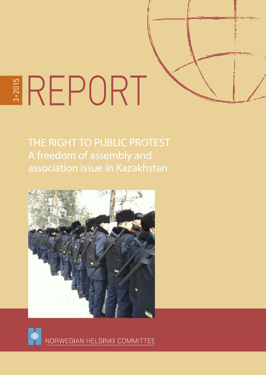

THE RIGHT TO PUBLIC PROTEST A freedom of assembly and association issue in Kazakhstan





NORWEGIAN HELSINKI COMMITTEE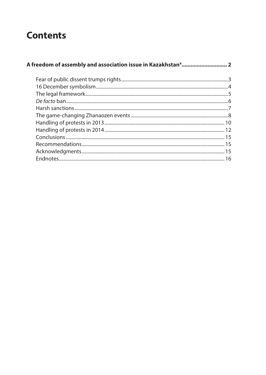# **Contents**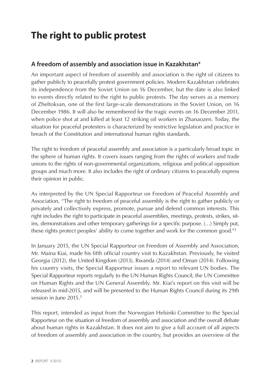# <span id="page-2-0"></span>**The right to public protest**

#### **A freedom of assembly and association issue in Kazakhstanx**

An important aspect of freedom of assembly and association is the right of citizens to gather publicly to peacefully protest government policies. Modern Kazakhstan celebrates its independence from the Soviet Union on 16 December, but the date is also linked to events directly related to the right to public protests. The day serves as a memory of Zheltoksan, one of the first large-scale demonstrations in the Soviet Union, on 16 December 1986. It will also be remembered for the tragic events on 16 December 2011, when police shot at and killed at least 12 striking oil workers in Zhanaozen. Today, the situation for peaceful protesters is characterized by restrictive legislation and practice in breach of the Constitution and international human rights standards.

The right to freedom of peaceful assembly and association is a particularly broad topic in the sphere of human rights. It covers issues ranging from the rights of workers and trade unions to the rights of non-governmental organizations, religious and political opposition groups and much more. It also includes the right of ordinary citizens to peacefully express their opinion in public.

As interpreted by the UN Special Rapporteur on Freedom of Peaceful Assembly and Association, "The right to freedom of peaceful assembly is the right to gather publicly or privately and collectively express, promote, pursue and defend common interests. This right includes the right to participate in peaceful assemblies, meetings, protests, strikes, sitins, demonstrations and other temporary gatherings for a specific purpose. (…) Simply put, these rights protect peoples' ability to come together and work for the common good."2

In January 2015, the UN Special Rapporteur on Freedom of Assembly and Association, Mr. Maina Kiai, made his fifth official country visit to Kazakhstan. Previously, he visited Georgia (2012), the United Kingdom (2013), Rwanda (2014) and Oman (2014). Following his country visits, the Special Rapporteur issues a report to relevant UN bodies. The Special Rapporteur reports regularly to the UN Human Rights Council, the UN Committee on Human Rights and the UN General Assembly. Mr. Kiai's report on this visit will be released in mid-2015, and will be presented to the Human Rights Council during its 29th session in June 2015.<sup>3</sup>

This report, intended as input from the Norwegian Helsinki Committee to the Special Rapporteur on the situation of freedom of assembly and association and the overall debate about human rights in Kazakhstan. It does not aim to give a full account of all aspects of freedom of assembly and association in the country, but provides an overview of the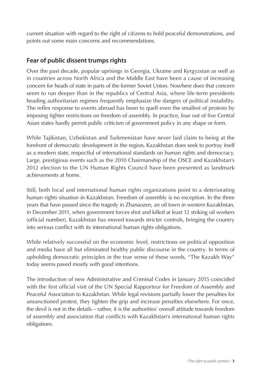<span id="page-3-0"></span>current situation with regard to the right of citizens to hold peaceful demonstrations, and points out some main concerns and recommendations.

## **Fear of public dissent trumps rights**

Over the past decade, popular uprisings in Georgia, Ukraine and Kyrgyzstan as well as in countries across North Africa and the Middle East have been a cause of increasing concern for heads of state in parts of the former Soviet Union. Nowhere does that concern seem to run deeper than in the republics of Central Asia, where life-term presidents heading authoritarian regimes frequently emphasize the dangers of political instability. The reflex response to events abroad has been to quell even the smallest of protests by imposing tighter restrictions on freedom of assembly. In practice, four out of five Central Asian states hardly permit public criticism of government policy in any shape or form.

While Tajikistan, Uzbekistan and Turkmenistan have never laid claim to being at the forefront of democratic development in the region, Kazakhstan does seek to portray itself as a modern state, respectful of international standards on human rights and democracy. Large, prestigious events such as the 2010 Chairmanship of the OSCE and Kazakhstan's 2012 election to the UN Human Rights Council have been presented as landmark achievements at home.

Still, both local and international human rights organizations point to a deteriorating human rights situation in Kazakhstan. Freedom of assembly is no exception. In the three years that have passed since the tragedy in Zhanaozen, an oil town in western Kazakhstan, in December 2011, when government forces shot and killed at least 12 striking oil workers (official number), Kazakhstan has moved towards stricter controls, bringing the country into serious conflict with its international human rights obligations.

While relatively successful on the economic level, restrictions on political opposition and media have all but eliminated healthy public discourse in the country. In terms of upholding democratic principles in the true sense of these words, "The Kazakh Way" today seems paved mostly with good intentions.

The introduction of new Administrative and Criminal Codes in January 2015 coincided with the first official visit of the UN Special Rapporteur for Freedom of Assembly and Peaceful Association to Kazakhstan. While legal revisions partially lower the penalties for unsanctioned protest, they tighten the grip and increase penalties elsewhere. For once, the devil is not in the details – rather, it is the authorities' overall attitude towards freedom of assembly and association that conflicts with Kazakhstan's international human rights obligations.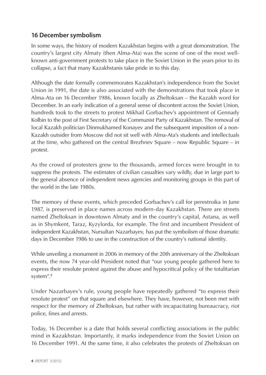## <span id="page-4-0"></span>**16 December symbolism**

In some ways, the history of modern Kazakhstan begins with a great demonstration. The country's largest city Almaty (then Alma-Ata) was the scene of one of the most wellknown anti-government protests to take place in the Soviet Union in the years prior to its collapse, a fact that many Kazakhstanis take pride in to this day.

Although the date formally commemorates Kazakhstan's independence from the Soviet Union in 1991, the date is also associated with the demonstrations that took place in Alma-Ata on 16 December 1986, known locally as Zheltoksan – the Kazakh word for December. In an early indication of a general sense of discontent across the Soviet Union, hundreds took to the streets to protest Mikhail Gorbachev's appointment of Gennady Kolbin to the post of First Secretary of the Communist Party of Kazakhstan. The removal of local Kazakh politician Dinmukhamed Konayev and the subsequent imposition of a non-Kazakh outsider from Moscow did not sit well with Alma-Ata's students and intellectuals at the time, who gathered on the central Brezhnev Square – now Republic Square – in protest.

As the crowd of protesters grew to the thousands, armed forces were brought in to suppress the protests. The estimates of civilian casualties vary wildly, due in large part to the general absence of independent news agencies and monitoring groups in this part of the world in the late 1980s.

The memory of these events, which preceded Gorbachev's call for perestroika in June 1987, is preserved in place names across modern-day Kazakhstan. There are streets named Zheltoksan in downtown Almaty and in the country's capital, Astana, as well as in Shymkent, Taraz, Kyzylorda, for example. The first and incumbent President of independent Kazakhstan, Nursultan Nazarbayev, has put the symbolism of those dramatic days in December 1986 to use in the construction of the country's national identity.

While unveiling a monument in 2006 in memory of the 20th anniversary of the Zheltoksan events, the now 74 year-old President noted that "our young people gathered here to express their resolute protest against the abuse and hypocritical policy of the totalitarian system".4

Under Nazarbayev's rule, young people have repeatedly gathered "to express their resolute protest" on that square and elsewhere. They have, however, not been met with respect for the memory of Zheltoksan, but rather with incapacitating bureaucracy, riot police, fines and arrests.

Today, 16 December is a date that holds several conflicting associations in the public mind in Kazakhstan. Importantly, it marks independence from the Soviet Union on 16 December 1991. At the same time, it also celebrates the protests of Zheltoksan on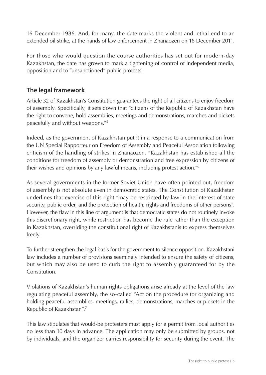<span id="page-5-0"></span>16 December 1986. And, for many, the date marks the violent and lethal end to an extended oil strike, at the hands of law enforcement in Zhanaozen on 16 December 2011.

For those who would question the course authorities has set out for modern-day Kazakhstan, the date has grown to mark a tightening of control of independent media, opposition and to "unsanctioned" public protests.

## **The legal framework**

Article 32 of Kazakhstan's Constitution guarantees the right of all citizens to enjoy freedom of assembly. Specifically, it sets down that "citizens of the Republic of Kazakhstan have the right to convene, hold assemblies, meetings and demonstrations, marches and pickets peacefully and without weapons."5

Indeed, as the government of Kazakhstan put it in a response to a communication from the UN Special Rapporteur on Freedom of Assembly and Peaceful Association following criticism of the handling of strikes in Zhanaozen, "Kazakhstan has established all the conditions for freedom of assembly or demonstration and free expression by citizens of their wishes and opinions by any lawful means, including protest action."6

As several governments in the former Soviet Union have often pointed out, freedom of assembly is not absolute even in democratic states. The Constitution of Kazakhstan underlines that exercise of this right "may be restricted by law in the interest of state security, public order, and the protection of health, rights and freedoms of other persons". However, the flaw in this line of argument is that democratic states do not routinely invoke this discretionary right, while restriction has become the rule rather than the exception in Kazakhstan, overriding the constitutional right of Kazakhstanis to express themselves freely.

To further strengthen the legal basis for the government to silence opposition, Kazakhstani law includes a number of provisions seemingly intended to ensure the safety of citizens, but which may also be used to curb the right to assembly guaranteed for by the Constitution.

Violations of Kazakhstan's human rights obligations arise already at the level of the law regulating peaceful assembly, the so-called "Act on the procedure for organizing and holding peaceful assemblies, meetings, rallies, demonstrations, marches or pickets in the Republic of Kazakhstan".7

This law stipulates that would-be protesters must apply for a permit from local authorities no less than 10 days in advance. The application may only be submitted by groups, not by individuals, and the organizer carries responsibility for security during the event. The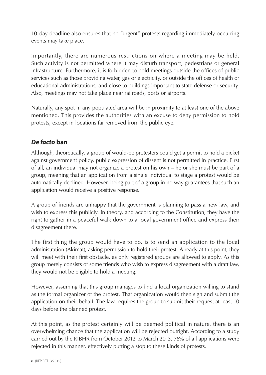<span id="page-6-0"></span>10-day deadline also ensures that no "urgent" protests regarding immediately occurring events may take place.

Importantly, there are numerous restrictions on where a meeting may be held. Such activity is not permitted where it may disturb transport, pedestrians or general infrastructure. Furthermore, it is forbidden to hold meetings outside the offices of public services such as those providing water, gas or electricity, or outside the offices of health or educational administrations, and close to buildings important to state defense or security. Also, meetings may not take place near railroads, ports or airports.

Naturally, any spot in any populated area will be in proximity to at least one of the above mentioned. This provides the authorities with an excuse to deny permission to hold protests, except in locations far removed from the public eye.

## *De facto* **ban**

Although, theoretically, a group of would-be protesters could get a permit to hold a picket against government policy, public expression of dissent is not permitted in practice. First of all, an individual may not organize a protest on his own – he or she must be part of a group, meaning that an application from a single individual to stage a protest would be automatically declined. However, being part of a group in no way guarantees that such an application would receive a positive response.

A group of friends are unhappy that the government is planning to pass a new law, and wish to express this publicly. In theory, and according to the Constitution, they have the right to gather in a peaceful walk down to a local government office and express their disagreement there.

The first thing the group would have to do, is to send an application to the local administration (Akimat), asking permission to hold their protest. Already at this point, they will meet with their first obstacle, as only registered groups are allowed to apply. As this group merely consists of some friends who wish to express disagreement with a draft law, they would not be eligible to hold a meeting.

However, assuming that this group manages to find a local organization willing to stand as the formal organizer of the protest. That organization would then sign and submit the application on their behalf. The law requires the group to submit their request at least 10 days before the planned protest.

At this point, as the protest certainly will be deemed political in nature, there is an overwhelming chance that the application will be rejected outright. According to a study carried out by the KIBHR from October 2012 to March 2013, 76% of all applications were rejected in this manner, effectively putting a stop to these kinds of protests.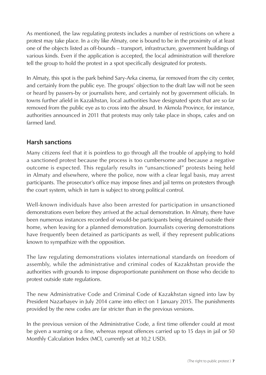<span id="page-7-0"></span>As mentioned, the law regulating protests includes a number of restrictions on where a protest may take place. In a city like Almaty, one is bound to be in the proximity of at least one of the objects listed as off-bounds – transport, infrastructure, government buildings of various kinds. Even if the application is accepted, the local administration will therefore tell the group to hold the protest in a spot specifically designated for protests.

In Almaty, this spot is the park behind Sary-Arka cinema, far removed from the city center, and certainly from the public eye. The groups' objection to the draft law will not be seen or heard by passers-by or journalists here, and certainly not by government officials. In towns further afield in Kazakhstan, local authorities have designated spots that are so far removed from the public eye as to cross into the absurd. In Akmola Province, for instance, authorities announced in 2011 that protests may only take place in shops, cafes and on farmed land.

#### **Harsh sanctions**

Many citizens feel that it is pointless to go through all the trouble of applying to hold a sanctioned protest because the process is too cumbersome and because a negative outcome is expected. This regularly results in "unsanctioned" protests being held in Almaty and elsewhere, where the police, now with a clear legal basis, may arrest participants. The prosecutor's office may impose fines and jail terms on protesters through the court system, which in turn is subject to strong political control.

Well-known individuals have also been arrested for participation in unsanctioned demonstrations even before they arrived at the actual demonstration. In Almaty, there have been numerous instances recorded of would-be participants being detained outside their home, when leaving for a planned demonstration. Journalists covering demonstrations have frequently been detained as participants as well, if they represent publications known to sympathize with the opposition.

The law regulating demonstrations violates international standards on freedom of assembly, while the administrative and criminal codes of Kazakhstan provide the authorities with grounds to impose disproportionate punishment on those who decide to protest outside state regulations.

The new Administrative Code and Criminal Code of Kazakhstan signed into law by President Nazarbayev in July 2014 came into effect on 1 January 2015. The punishments provided by the new codes are far stricter than in the previous versions.

In the previous version of the Administrative Code, a first time offender could at most be given a warning or a fine, whereas repeat offences carried up to 15 days in jail or 50 Monthly Calculation Index (MCI, currently set at 10,2 USD).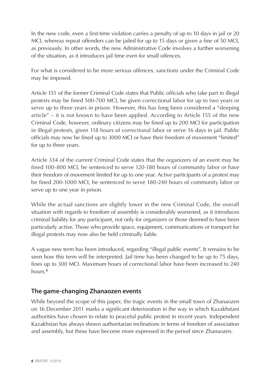<span id="page-8-0"></span>In the new code, even a first-time violation carries a penalty of up to 10 days in jail or 20 MCI, whereas repeat offenders can be jailed for up to 15 days or given a fine of 50 MCI, as previously. In other words, the new Administrative Code involves a further worsening of the situation, as it introduces jail time even for small offences.

For what is considered to be more serious offences, sanctions under the Criminal Code may be imposed.

Article 151 of the former Criminal Code states that Public officials who take part in illegal protests may be fined 500-700 MCI, be given correctional labor for up to two years or serve up to three years in prison. However, this has long been considered a "sleeping article" – it is not known to have been applied. According to Article 155 of the new Criminal Code, however, ordinary citizens may be fined up to 200 MCI for participation in illegal protests, given 118 hours of correctional labor or serve 16 days in jail. Public officials may now be fined up to 3000 MCI or have their freedom of movement "limited" for up to three years.

Article 334 of the current Criminal Code states that the organizers of an event may be fined 100-800 MCI, be sentenced to serve 120-180 hours of community labor or have their freedom of movement limited for up to one year. Active participants of a protest may be fined 200-1000 MCI, be sentenced to serve 180-240 hours of community labor or serve up to one year in prison.

While the actual sanctions are slightly lower in the new Criminal Code, the overall situation with regards to freedom of assembly is considerably worsened, as it introduces criminal liability for any participant, not only for organizers or those deemed to have been particularly active. Those who provide space, equipment, communications or transport for illegal protests may now also be held criminally liable.

A vague new term has been introduced, regarding "illegal public events". It remains to be seen how this term will be interpreted. Jail time has been changed to be up to 75 days, fines up to 300 MCI. Maximum hours of correctional labor have been increased to 240 hours.<sup>8</sup>

## **The game-changing Zhanaozen events**

While beyond the scope of this paper, the tragic events in the small town of Zhanaozen on 16 December 2011 marks a significant deterioration in the way in which Kazakhstani authorities have chosen to relate to peaceful public protest in recent years. Independent Kazakhstan has always shown authoritarian inclinations in terms of freedom of association and assembly, but these have become more expressed in the period since Zhanaozen.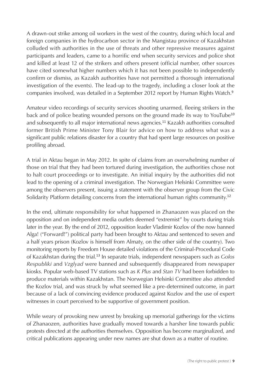A drawn-out strike among oil workers in the west of the country, during which local and foreign companies in the hydrocarbon sector in the Mangistau province of Kazakhstan colluded with authorities in the use of threats and other repressive measures against participants and leaders, came to a horrific end when security services and police shot and killed at least 12 of the strikers and others present (official number, other sources have cited somewhat higher numbers which it has not been possible to independently confirm or dismiss, as Kazakh authorities have not permitted a thorough international investigation of the events). The lead-up to the tragedy, including a closer look at the companies involved, was detailed in a September 2012 report by Human Rights Watch.<sup>9</sup>

Amateur video recordings of security services shooting unarmed, fleeing strikers in the back and of police beating wounded persons on the ground made its way to YouTube<sup>10</sup> and subsequently to all major international news agencies.<sup>11</sup> Kazakh authorities consulted former British Prime Minister Tony Blair for advice on how to address what was a significant public relations disaster for a country that had spent large resources on positive profiling abroad.

A trial in Aktau began in May 2012. In spite of claims from an overwhelming number of those on trial that they had been tortured during investigation, the authorities chose not to halt court proceedings or to investigate. An initial inquiry by the authorities did not lead to the opening of a criminal investigation. The Norwegian Helsinki Committee were among the observers present, issuing a statement with the observer group from the Civic Solidarity Platform detailing concerns from the international human rights community.<sup>12</sup>

In the end, ultimate responsibility for what happened in Zhanaozen was placed on the opposition and on independent media outlets deemed "extremist" by courts during trials later in the year. By the end of 2012, opposition leader Vladimir Kozlov of the now banned Alga! ("Forward!") political party had been brought to Aktau and sentenced to seven and a half years prison (Kozlov is himself from Almaty, on the other side of the country). Two monitoring reports by Freedom House detailed violations of the Criminal-Procedural Code of Kazakhstan during the trial.<sup>13</sup> In separate trials, independent newspapers such as *Golos Respubliki* and *Vzglyad* were banned and subsequently disappeared from newspaper kiosks. Popular web-based TV stations such as *K Plus* and *Stan TV* had been forbidden to produce materials within Kazakhstan. The Norwegian Helsinki Committee also attended the Kozlov trial, and was struck by what seemed like a pre-determined outcome, in part because of a lack of convincing evidence produced against Kozlov and the use of expert witnesses in court perceived to be supportive of government position.

While weary of provoking new unrest by breaking up memorial gatherings for the victims of Zhanaozen, authorities have gradually moved towards a harsher line towards public protests directed at the authorities themselves. Opposition has become marginalized, and critical publications appearing under new names are shut down as a matter of routine.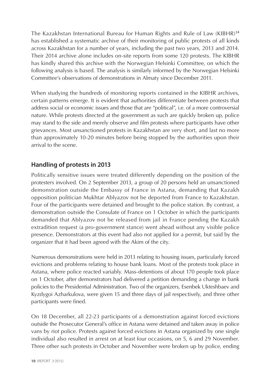<span id="page-10-0"></span>The Kazakhstan International Bureau for Human Rights and Rule of Law (KIBHR)<sup>14</sup> has established a systematic archive of their monitoring of public protests of all kinds across Kazakhstan for a number of years, including the past two years, 2013 and 2014. Their 2014 archive alone includes on-site reports from some 120 protests. The KIBHR has kindly shared this archive with the Norwegian Helsinki Committee, on which the following analysis is based. The analysis is similarly informed by the Norwegian Helsinki Committee's observations of demonstrations in Almaty since December 2011.

When studying the hundreds of monitoring reports contained in the KIBHR archives, certain patterns emerge. It is evident that authorities differentiate between protests that address social or economic issues and those that are "political", i.e. of a more controversial nature. While protests directed at the government as such are quickly broken up, police may stand to the side and merely observe and film protests where participants have other grievances. Most unsanctioned protests in Kazakhstan are very short, and last no more than approximately 10-20 minutes before being stopped by the authorities upon their arrival to the scene.

## **Handling of protests in 2013**

Politically sensitive issues were treated differently depending on the position of the protesters involved. On 2 September 2013, a group of 20 persons held an unsanctioned demonstration outside the Embassy of France in Astana, demanding that Kazakh opposition politician Mukhtar Ablyazov not be deported from France to Kazakhstan. Four of the participants were detained and brought to the police station. By contrast, a demonstration outside the Consulate of France on 1 October in which the participants demanded that Ablyazov not be released from jail in France pending the Kazakh extradition request (a pro-government stance) went ahead without any visible police presence. Demonstrators at this event had also not applied for a permit, but said by the organizer that it had been agreed with the Akim of the city.

Numerous demonstrations were held in 2013 relating to housing issues, particularly forced evictions and problems relating to house bank loans. Most of the protests took place in Astana, where police reacted variably. Mass-detentions of about 170 people took place on 1 October, after demonstrators had delivered a petition demanding a change in bank policies to the Presidential Administration. Two of the organizers, Esenbek Ukteshbaev and Kyzdygoi Azharkulova, were given 15 and three days of jail respectively, and three other participants were fined.

On 18 December, all 22-23 participants of a demonstration against forced evictions outside the Prosecutor General's office in Astana were detained and taken away in police vans by riot police. Protests against forced evictions in Astana organized by one single individual also resulted in arrest on at least four occasions, on 5, 6 and 29 November. Three other such protests in October and November were broken up by police, ending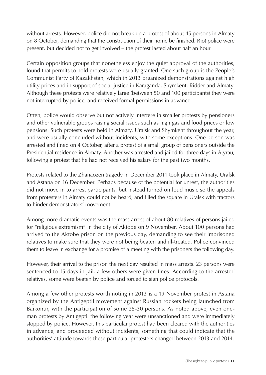without arrests. However, police did not break up a protest of about 45 persons in Almaty on 8 October, demanding that the construction of their home be finished. Riot police were present, but decided not to get involved – the protest lasted about half an hour.

Certain opposition groups that nonetheless enjoy the quiet approval of the authorities, found that permits to hold protests were usually granted. One such group is the People's Communist Party of Kazakhstan, which in 2013 organized demonstrations against high utility prices and in support of social justice in Karaganda, Shymkent, Ridder and Almaty. Although these protests were relatively large (between 50 and 100 participants) they were not interrupted by police, and received formal permissions in advance.

Often, police would observe but not actively interfere in smaller protests by pensioners and other vulnerable groups raising social issues such as high gas and food prices or low pensions. Such protests were held in Almaty, Uralsk and Shymkent throughout the year, and were usually concluded without incidents, with some exceptions. One person was arrested and fined on 4 October, after a protest of a small group of pensioners outside the Presidential residence in Almaty. Another was arrested and jailed for three days in Atyrau, following a protest that he had not received his salary for the past two months.

Protests related to the Zhanaozen tragedy in December 2011 took place in Almaty, Uralsk and Astana on 16 December. Perhaps because of the potential for unrest, the authorities did not move in to arrest participants, but instead turned on loud music so the appeals from protesters in Almaty could not be heard, and filled the square in Uralsk with tractors to hinder demonstrators' movement.

Among more dramatic events was the mass arrest of about 80 relatives of persons jailed for "religious extremism" in the city of Aktobe on 9 November. About 100 persons had arrived to the Aktobe prison on the previous day, demanding to see their imprisoned relatives to make sure that they were not being beaten and ill-treated. Police convinced them to leave in exchange for a promise of a meeting with the prisoners the following day.

However, their arrival to the prison the next day resulted in mass arrests. 23 persons were sentenced to 15 days in jail; a few others were given fines. According to the arrested relatives, some were beaten by police and forced to sign police protocols.

Among a few other protests worth noting in 2013 is a 19 November protest in Astana organized by the Antigeptil movement against Russian rockets being launched from Baikonur, with the participation of some 25-30 persons. As noted above, even oneman protests by Antigeptil the following year were unsanctioned and were immediately stopped by police. However, this particular protest had been cleared with the authorities in advance, and proceeded without incidents, something that could indicate that the authorities' attitude towards these particular protesters changed between 2013 and 2014.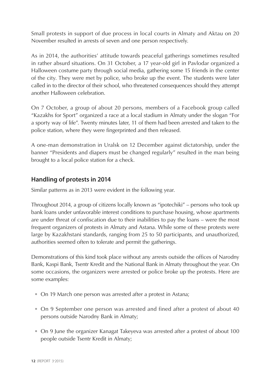<span id="page-12-0"></span>Small protests in support of due process in local courts in Almaty and Aktau on 20 November resulted in arrests of seven and one person respectively.

As in 2014, the authorities' attitude towards peaceful gatherings sometimes resulted in rather absurd situations. On 31 October, a 17 year-old girl in Pavlodar organized a Halloween costume party through social media, gathering some 15 friends in the center of the city. They were met by police, who broke up the event. The students were later called in to the director of their school, who threatened consequences should they attempt another Halloween celebration.

On 7 October, a group of about 20 persons, members of a Facebook group called "Kazakhs for Sport" organized a race at a local stadium in Almaty under the slogan "For a sporty way of life". Twenty minutes later, 11 of them had been arrested and taken to the police station, where they were fingerprinted and then released.

A one-man demonstration in Uralsk on 12 December against dictatorship, under the banner "Presidents and diapers must be changed regularly" resulted in the man being brought to a local police station for a check.

#### **Handling of protests in 2014**

Similar patterns as in 2013 were evident in the following year.

Throughout 2014, a group of citizens locally known as "ipotechiki" – persons who took up bank loans under unfavorable interest conditions to purchase housing, whose apartments are under threat of confiscation due to their inabilities to pay the loans – were the most frequent organizers of protests in Almaty and Astana. While some of these protests were large by Kazakhstani standards, ranging from 25 to 50 participants, and unauthorized, authorities seemed often to tolerate and permit the gatherings.

Demonstrations of this kind took place without any arrests outside the offices of Narodny Bank, Kaspi Bank, Tsentr Kredit and the National Bank in Almaty throughout the year. On some occasions, the organizers were arrested or police broke up the protests. Here are some examples:

- On 19 March one person was arrested after a protest in Astana;
- On 9 September one person was arrested and fined after a protest of about 40 persons outside Narodny Bank in Almaty;
- On 9 June the organizer Kanagat Takeyeva was arrested after a protest of about 100 people outside Tsentr Kredit in Almaty;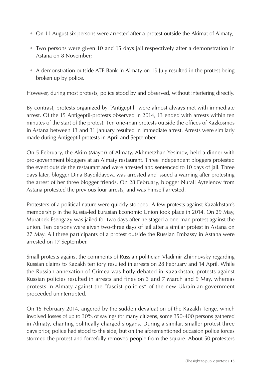- On 11 August six persons were arrested after a protest outside the Akimat of Almaty;
- Two persons were given 10 and 15 days jail respectively after a demonstration in Astana on 8 November;
- A demonstration outside ATF Bank in Almaty on 15 July resulted in the protest being broken up by police.

However, during most protests, police stood by and observed, without interfering directly.

By contrast, protests organized by "Antigeptil" were almost always met with immediate arrest. Of the 15 Antigeptil-protests observed in 2014, 13 ended with arrests within ten minutes of the start of the protest. Ten one-man protests outside the offices of Kazkosmos in Astana between 13 and 31 January resulted in immediate arrest. Arrests were similarly made during Antigeptil protests in April and September.

On 5 February, the Akim (Mayor) of Almaty, Akhmetzhan Yesimov, held a dinner with pro-government bloggers at an Almaty restaurant. Three independent bloggers protested the event outside the restaurant and were arrested and sentenced to 10 days of jail. Three days later, blogger Dina Baydildayeva was arrested and issued a warning after protesting the arrest of her three blogger friends. On 28 February, blogger Nurali Aytelenov from Astana protested the previous four arrests, and was himself arrested.

Protesters of a political nature were quickly stopped. A few protests against Kazakhstan's membership in the Russia-led Eurasian Economic Union took place in 2014. On 29 May, Muratbek Esengazy was jailed for two days after he staged a one-man protest against the union. Ten persons were given two-three days of jail after a similar protest in Astana on 27 May. All three participants of a protest outside the Russian Embassy in Astana were arrested on 17 September.

Small protests against the comments of Russian politician Vladimir Zhirinovsky regarding Russian claims to Kazakh territory resulted in arrests on 28 February and 14 April. While the Russian annexation of Crimea was hotly debated in Kazakhstan, protests against Russian policies resulted in arrests and fines on 3 and 7 March and 9 May, whereas protests in Almaty against the "fascist policies" of the new Ukrainian government proceeded uninterrupted.

On 15 February 2014, angered by the sudden devaluation of the Kazakh Tenge, which involved losses of up to 30% of savings for many citizens, some 350-400 persons gathered in Almaty, chanting politically charged slogans. During a similar, smaller protest three days prior, police had stood to the side, but on the aforementioned occasion police forces stormed the protest and forcefully removed people from the square. About 50 protesters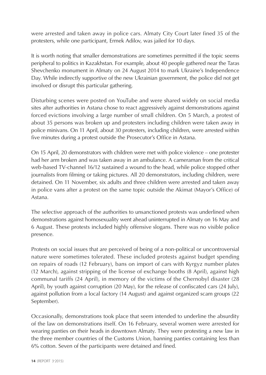were arrested and taken away in police cars. Almaty City Court later fined 35 of the protesters, while one participant, Ermek Adilov, was jailed for 10 days.

It is worth noting that smaller demonstrations are sometimes permitted if the topic seems peripheral to politics in Kazakhstan. For example, about 40 people gathered near the Taras Shevchenko monument in Almaty on 24 August 2014 to mark Ukraine's Independence Day. While indirectly supportive of the new Ukrainian government, the police did not get involved or disrupt this particular gathering.

Disturbing scenes were posted on YouTube and were shared widely on social media sites after authorities in Astana chose to react aggressively against demonstrations against forced evictions involving a large number of small children. On 5 March, a protest of about 35 persons was broken up and protesters including children were taken away in police minivans. On 11 April, about 30 protesters, including children, were arrested within five minutes during a protest outside the Prosecutor's Office in Astana.

On 15 April, 20 demonstrators with children were met with police violence – one protester had her arm broken and was taken away in an ambulance. A cameraman from the critical web-based TV-channel 16/12 sustained a wound to the head, while police stopped other journalists from filming or taking pictures. All 20 demonstrators, including children, were detained. On 11 November, six adults and three children were arrested and taken away in police vans after a protest on the same topic outside the Akimat (Mayor's Office) of Astana.

The selective approach of the authorities to unsanctioned protests was underlined when demonstrations against homosexuality went ahead uninterrupted in Almaty on 16 May and 6 August. These protests included highly offensive slogans. There was no visible police presence.

Protests on social issues that are perceived of being of a non-political or uncontroversial nature were sometimes tolerated. These included protests against budget spending on repairs of roads (12 February), bans on import of cars with Kyrgyz number plates (12 March), against stripping of the license of exchange booths (8 April), against high communal tariffs (24 April), in memory of the victims of the Chernobyl disaster (28 April), by youth against corruption (20 May), for the release of confiscated cars (24 July), against pollution from a local factory (14 August) and against organized scam groups (22 September).

Occasionally, demonstrations took place that seem intended to underline the absurdity of the law on demonstrations itself. On 16 February, several women were arrested for wearing panties on their heads in downtown Almaty. They were protesting a new law in the three member countries of the Customs Union, banning panties containing less than 6% cotton. Seven of the participants were detained and fined.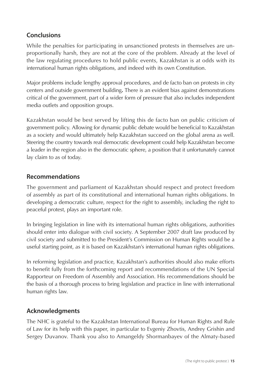## <span id="page-15-0"></span>**Conclusions**

While the penalties for participating in unsanctioned protests in themselves are unproportionally harsh, they are not at the core of the problem. Already at the level of the law regulating procedures to hold public events, Kazakhstan is at odds with its international human rights obligations, and indeed with its own Constitution.

Major problems include lengthy approval procedures, and de facto ban on protests in city centers and outside government building**.** There is an evident bias against demonstrations critical of the government, part of a wider form of pressure that also includes independent media outlets and opposition groups.

Kazakhstan would be best served by lifting this de facto ban on public criticism of government policy. Allowing for dynamic public debate would be beneficial to Kazakhstan as a society and would ultimately help Kazakhstan succeed on the global arena as well. Steering the country towards real democratic development could help Kazakhstan become a leader in the region also in the democratic sphere, a position that it unfortunately cannot lay claim to as of today.

#### **Recommendations**

The government and parliament of Kazakhstan should respect and protect freedom of assembly as part of its constitutional and international human rights obligations. In developing a democratic culture, respect for the right to assembly, including the right to peaceful protest, plays an important role.

In bringing legislation in line with its international human rights obligations, authorities should enter into dialogue with civil society. A September 2007 draft law produced by civil society and submitted to the President's Commission on Human Rights would be a useful starting point, as it is based on Kazakhstan's international human rights obligations.

In reforming legislation and practice, Kazakhstan's authorities should also make efforts to benefit fully from the forthcoming report and recommendations of the UN Special Rapporteur on Freedom of Assembly and Association. His recommendations should be the basis of a thorough process to bring legislation and practice in line with international human rights law.

#### **Acknowledgments**

The NHC is grateful to the Kazakhstan International Bureau for Human Rights and Rule of Law for its help with this paper, in particular to Evgeniy Zhovtis, Andrey Grishin and Sergey Duvanov. Thank you also to Amangeldy Shormanbayev of the Almaty-based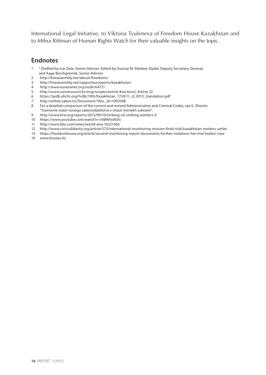<span id="page-16-0"></span>International Legal Initiative, to Viktoria Tyuleneva of Freedom House Kazakhstan and to Mihra Rittman of Human Rights Watch for their valuable insights on the topic.

#### **Endnotes**

- <sup>1</sup> X Drafted by Ivar Dale, Senior Adviser. Edited by Gunnar M. Ekeløve-Slydal, Deputy Secretary General, and Aage Borchgrevink, Senior Adviser.
- <http://freeassembly.net/about/freedoms/><br>3 http://freeassembly.net/rapporteurreport
- <http://freeassembly.net/rapporteurreports/kazakhstan/>
- <http://www.eurasianet.org/node/64721><br>5 http://www.constrouncil.kz/eng/norph
- http://www.constcouncil.kz/eng/norpb/constrk/#section2, Article 32.
- [https://spdb.ohchr.org/hrdb/19th/Kazakhstan\\_17.09.11\\_\(2.2011\)\\_translation.pdf](https://spdb.ohchr.org/hrdb/19th/Kazakhstan_17.09.11_(2.2011)_translation.pdf)
- [http://online.zakon.kz/Document/?doc\\_id=1003508](http://online.zakon.kz/Document/?doc_id=1003508)
- For a detailed comparison of the current and revised Administrative and Criminal Codes, see E. Zhovtis: "Sravnenie statei novogo zakonodatelstva v chasti mirnykh sobranii".
- <http://www.hrw.org/reports/2012/09/10/striking-oil-striking-workers-0>
- <https://www.youtube.com/watch?v=ttl8NfwX05s>
- <http://www.bbc.com/news/world-asia-16221566>
- <http://www.civicsolidarity.org/article/573/international-monitoring-mission-finds-trial-kazakhstan-workers-unfair>
- <https://freedomhouse.org/article/second-monitoring-report-documents-further-violations-fair-trial-kozlov-case>
- [www.bureau.kz](http://www.bureau.kz)